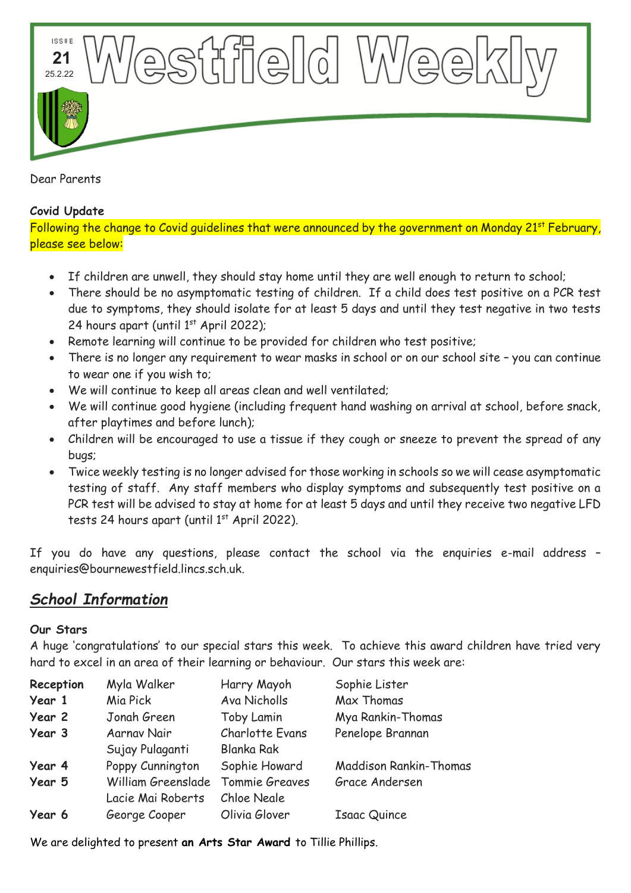**ISSUE**  $\mathbb{C}\mathbb{C}$  if  $\mathbb{C}\mathbb{C}$  if  $\mathbb{C}\mathbb{C}$  if  $\mathbb{C}\mathbb{C}$  if  $\mathbb{C}\mathbb{C}$  if  $\mathbb{C}\mathbb{C}$  if  $\mathbb{C}\mathbb{C}$  if  $\mathbb{C}\mathbb{C}$  if  $\mathbb{C}\mathbb{C}$  if  $\mathbb{C}\mathbb{C}$  if  $\mathbb{C}\mathbb{C}$  if  $\mathbb{C}\mathbb{C}$  if  $\mathbb{C}\mathbb{C}$  if \'\\'(e **21 6** 25.2.22

Dear Parents

## **Covid Update**

Following the change to Covid guidelines that were announced by the government on Monday 21<sup>st</sup> February, please see below:

- If children are unwell, they should stay home until they are well enough to return to school;
- There should be no asymptomatic testing of children. If a child does test positive on a PCR test due to symptoms, they should isolate for at least 5 days and until they test negative in two tests 24 hours apart (until  $1<sup>st</sup>$  April 2022);
- Remote learning will continue to be provided for children who test positive;
- There is no longer any requirement to wear masks in school or on our school site you can continue to wear one if you wish to;
- We will continue to keep all areas clean and well ventilated;
- We will continue good hygiene (including frequent hand washing on arrival at school, before snack, after playtimes and before lunch);
- Children will be encouraged to use a tissue if they cough or sneeze to prevent the spread of any bugs;
- Twice weekly testing is no longer advised for those working in schools so we will cease asymptomatic testing of staff. Any staff members who display symptoms and subsequently test positive on a PCR test will be advised to stay at home for at least 5 days and until they receive two negative LFD tests 24 hours apart (until  $1<sup>st</sup>$  April 2022).

If you do have any questions, please contact the school via the enquiries e-mail address – enquiries@bournewestfield.lincs.sch.uk.

# *School Information*

## **Our Stars**

A huge 'congratulations' to our special stars this week. To achieve this award children have tried very hard to excel in an area of their learning or behaviour. Our stars this week are:

| Reception | Myla Walker        | Harry Mayoh            | Sophie Lister          |
|-----------|--------------------|------------------------|------------------------|
| Year 1    | Mia Pick           | Ava Nicholls           | Max Thomas             |
| Year 2    | Jonah Green        | Toby Lamin             | Mya Rankin-Thomas      |
| Year 3    | Aarnav Nair        | <b>Charlotte Evans</b> | Penelope Brannan       |
|           | Sujay Pulaganti    | <b>Blanka Rak</b>      |                        |
| Year 4    | Poppy Cunnington   | Sophie Howard          | Maddison Rankin-Thomas |
| Year 5    | William Greenslade | Tommie Greaves         | Grace Andersen         |
|           | Lacie Mai Roberts  | Chloe Neale            |                        |
| Year 6    | George Cooper      | Olivia Glover          | <b>Isaac Quince</b>    |
|           |                    |                        |                        |

We are delighted to present **an Arts Star Award** to Tillie Phillips.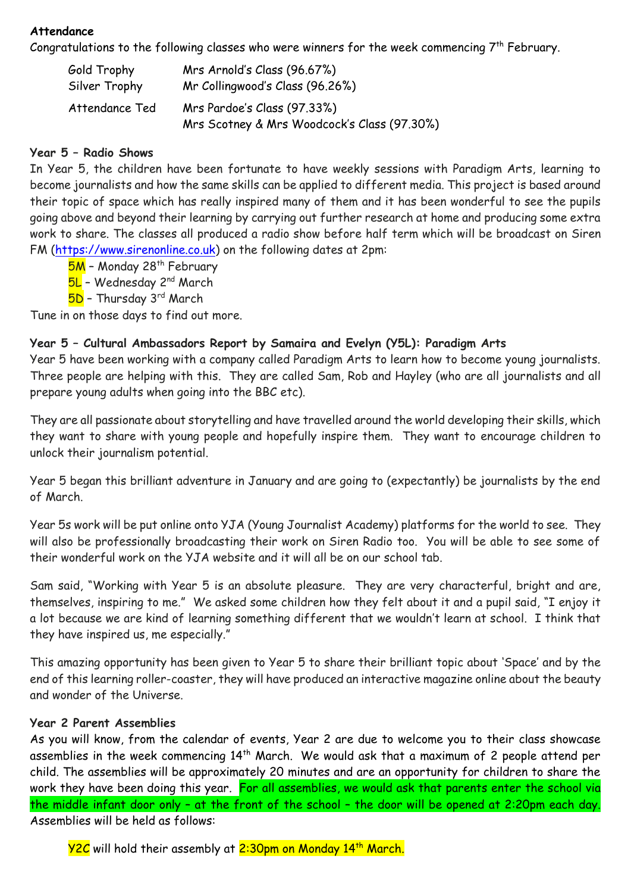#### **Attendance**

Congratulations to the following classes who were winners for the week commencing  $7<sup>th</sup>$  February.

| Gold Trophy    | Mrs Arnold's Class (96.67%)                                                |
|----------------|----------------------------------------------------------------------------|
| Silver Trophy  | Mr Collingwood's Class (96.26%)                                            |
| Attendance Ted | Mrs Pardoe's Class (97.33%)<br>Mrs Scotney & Mrs Woodcock's Class (97.30%) |

## **Year 5 – Radio Shows**

In Year 5, the children have been fortunate to have weekly sessions with Paradigm Arts, learning to become journalists and how the same skills can be applied to different media. This project is based around their topic of space which has really inspired many of them and it has been wonderful to see the pupils going above and beyond their learning by carrying out further research at home and producing some extra work to share. The classes all produced a radio show before half term which will be broadcast on Siren FM [\(https://www.sirenonline.co.uk\)](https://www.sirenonline.co.uk/) on the following dates at 2pm:

5M - Monday 28<sup>th</sup> February

5L - Wednesday 2<sup>nd</sup> March

5D - Thursday 3rd March

Tune in on those days to find out more.

### **Year 5 – Cultural Ambassadors Report by Samaira and Evelyn (Y5L): Paradigm Arts**

Year 5 have been working with a company called Paradigm Arts to learn how to become young journalists. Three people are helping with this. They are called Sam, Rob and Hayley (who are all journalists and all prepare young adults when going into the BBC etc).

They are all passionate about storytelling and have travelled around the world developing their skills, which they want to share with young people and hopefully inspire them. They want to encourage children to unlock their journalism potential.

Year 5 began this brilliant adventure in January and are going to (expectantly) be journalists by the end of March.

Year 5s work will be put online onto YJA (Young Journalist Academy) platforms for the world to see. They will also be professionally broadcasting their work on Siren Radio too. You will be able to see some of their wonderful work on the YJA website and it will all be on our school tab.

Sam said, "Working with Year 5 is an absolute pleasure. They are very characterful, bright and are, themselves, inspiring to me." We asked some children how they felt about it and a pupil said, "I enjoy it a lot because we are kind of learning something different that we wouldn't learn at school. I think that they have inspired us, me especially."

This amazing opportunity has been given to Year 5 to share their brilliant topic about 'Space' and by the end of this learning roller-coaster, they will have produced an interactive magazine online about the beauty and wonder of the Universe.

#### **Year 2 Parent Assemblies**

As you will know, from the calendar of events, Year 2 are due to welcome you to their class showcase assemblies in the week commencing 14<sup>th</sup> March. We would ask that a maximum of 2 people attend per child. The assemblies will be approximately 20 minutes and are an opportunity for children to share the work they have been doing this year. For all assemblies, we would ask that parents enter the school via the middle infant door only – at the front of the school – the door will be opened at 2:20pm each day. Assemblies will be held as follows:

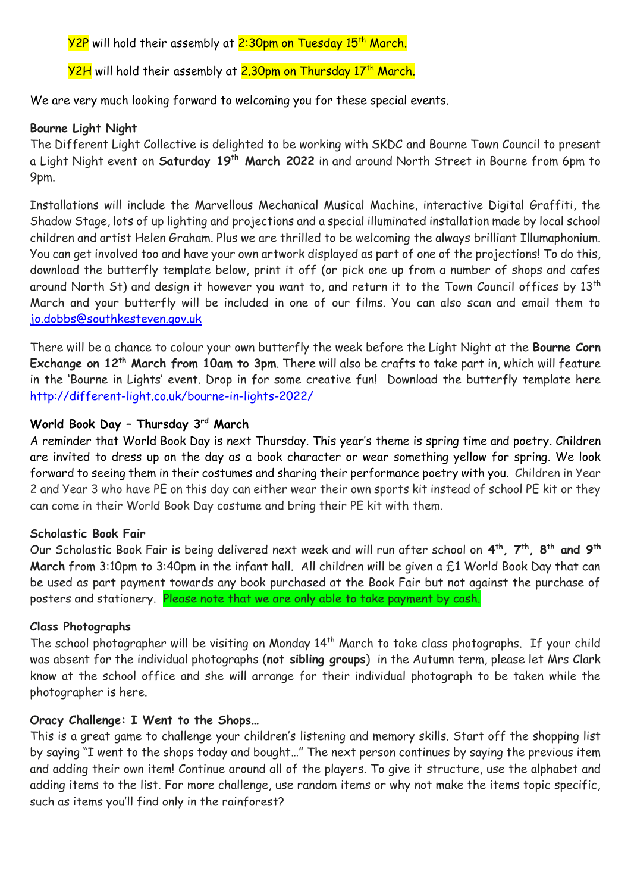Y2P will hold their assembly at 2:30pm on Tuesday 15<sup>th</sup> March.

<mark>Y2H</mark> will hold their assembly at <mark>2.30pm on Thursday 17<sup>th</sup> March.</mark>

We are very much looking forward to welcoming you for these special events.

## **Bourne Light Night**

The Different Light Collective is delighted to be working with SKDC and Bourne Town Council to present a Light Night event on **Saturday 19th March 2022** in and around North Street in Bourne from 6pm to 9pm.

Installations will include the Marvellous Mechanical Musical Machine, interactive Digital Graffiti, the Shadow Stage, lots of up lighting and projections and a special illuminated installation made by local school children and artist Helen Graham. Plus we are thrilled to be welcoming the always brilliant Illumaphonium. You can get involved too and have your own artwork displayed as part of one of the projections! To do this, download the butterfly template below, print it off (or pick one up from a number of shops and cafes around North St) and design it however you want to, and return it to the Town Council offices by 13<sup>th</sup> March and your butterfly will be included in one of our films. You can also scan and email them to [jo.dobbs@southkesteven.gov.uk](mailto:jo.dobbs@southkesteven.gov.uk)

There will be a chance to colour your own butterfly the week before the Light Night at the **Bourne Corn Exchange on 12th March from 10am to 3pm**. There will also be crafts to take part in, which will feature in the 'Bourne in Lights' event. Drop in for some creative fun! Download the butterfly template here <http://different-light.co.uk/bourne-in-lights-2022/>

## **World Book Day – Thursday 3rd March**

A reminder that World Book Day is next Thursday. This year's theme is spring time and poetry. Children are invited to dress up on the day as a book character or wear something yellow for spring. We look forward to seeing them in their costumes and sharing their performance poetry with you. Children in Year 2 and Year 3 who have PE on this day can either wear their own sports kit instead of school PE kit or they can come in their World Book Day costume and bring their PE kit with them.

#### **Scholastic Book Fair**

Our Scholastic Book Fair is being delivered next week and will run after school on 4<sup>th</sup>, 7<sup>th</sup>, 8<sup>th</sup> and 9<sup>th</sup> **March** from 3:10pm to 3:40pm in the infant hall. All children will be given a £1 World Book Day that can be used as part payment towards any book purchased at the Book Fair but not against the purchase of posters and stationery. Please note that we are only able to take payment by cash.

#### **Class Photographs**

The school photographer will be visiting on Monday 14<sup>th</sup> March to take class photographs. If your child was absent for the individual photographs (**not sibling groups**) in the Autumn term, please let Mrs Clark know at the school office and she will arrange for their individual photograph to be taken while the photographer is here.

#### **Oracy Challenge: I Went to the Shops…**

This is a great game to challenge your children's listening and memory skills. Start off the shopping list by saying "I went to the shops today and bought…" The next person continues by saying the previous item and adding their own item! Continue around all of the players. To give it structure, use the alphabet and adding items to the list. For more challenge, use random items or why not make the items topic specific, such as items you'll find only in the rainforest?